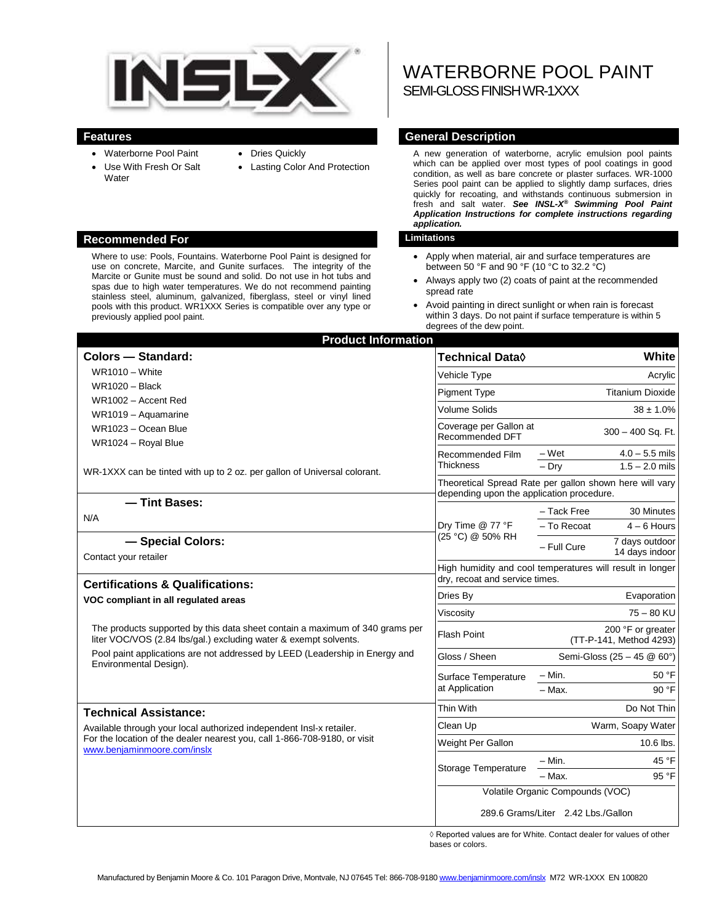

- Waterborne Pool Paint
- Use With Fresh Or Salt **Water**
- Dries Quickly
- Lasting Color And Protection

WATERBORNE POOL PAINT SEMI-GLOSS FINISHWR-1XXX

# **Features General Description**

A new generation of waterborne, acrylic emulsion pool paints which can be applied over most types of pool coatings in good condition, as well as bare concrete or plaster surfaces. WR-1000 Series pool paint can be applied to slightly damp surfaces, dries quickly for recoating, and withstands continuous submersion in fresh and salt water. *See INSL-X® Swimming Pool Paint Application Instructions for complete instructions regarding application.*

# **Recommended For Limitations**

- Apply when material, air and surface temperatures are between 50 °F and 90 °F (10 °C to 32.2 °C)
- Always apply two (2) coats of paint at the recommended spread rate
- Avoid painting in direct sunlight or when rain is forecast within 3 days. Do not paint if surface temperature is within 5 degrees of the dew point.

| <b>Product Information</b>                                                                                                                       |                                                           |                                                         |  |  |
|--------------------------------------------------------------------------------------------------------------------------------------------------|-----------------------------------------------------------|---------------------------------------------------------|--|--|
| <b>Colors - Standard:</b>                                                                                                                        | <b>Technical Data</b> ◊                                   | White                                                   |  |  |
| $WR1010 - White$                                                                                                                                 | Vehicle Type                                              | Acrylic                                                 |  |  |
| $WR1020 - Black$                                                                                                                                 | <b>Pigment Type</b>                                       | <b>Titanium Dioxide</b>                                 |  |  |
| WR1002 - Accent Red                                                                                                                              | <b>Volume Solids</b>                                      | $38 \pm 1.0\%$                                          |  |  |
| WR1019 - Aquamarine                                                                                                                              |                                                           |                                                         |  |  |
| WR1023 - Ocean Blue<br>WR1024 - Royal Blue                                                                                                       | Coverage per Gallon at<br>Recommended DFT                 | 300 - 400 Sq. Ft.                                       |  |  |
|                                                                                                                                                  | Recommended Film                                          | – Wet<br>$4.0 - 5.5$ mils                               |  |  |
| WR-1XXX can be tinted with up to 2 oz. per gallon of Universal colorant.                                                                         | <b>Thickness</b>                                          | $1.5 - 2.0$ mils<br>$-$ Drv                             |  |  |
|                                                                                                                                                  | depending upon the application procedure.                 | Theoretical Spread Rate per gallon shown here will vary |  |  |
| - Tint Bases:                                                                                                                                    |                                                           | - Tack Free<br>30 Minutes                               |  |  |
| N/A                                                                                                                                              | Dry Time @ 77 °F                                          | - To Recoat<br>$4 - 6$ Hours                            |  |  |
| - Special Colors:                                                                                                                                | (25 °C) @ 50% RH                                          | 7 days outdoor<br>- Full Cure<br>14 days indoor         |  |  |
| Contact your retailer                                                                                                                            | High humidity and cool temperatures will result in longer |                                                         |  |  |
| <b>Certifications &amp; Qualifications:</b>                                                                                                      | dry, recoat and service times.                            |                                                         |  |  |
| VOC compliant in all regulated areas                                                                                                             | Dries By                                                  | Evaporation                                             |  |  |
|                                                                                                                                                  | Viscosity                                                 | $75 - 80$ KU                                            |  |  |
| The products supported by this data sheet contain a maximum of 340 grams per<br>liter VOC/VOS (2.84 lbs/gal.) excluding water & exempt solvents. | <b>Flash Point</b>                                        | 200 °F or greater<br>(TT-P-141, Method 4293)            |  |  |
| Pool paint applications are not addressed by LEED (Leadership in Energy and<br>Environmental Design).                                            | Gloss / Sheen                                             | Semi-Gloss (25 - 45 @ 60°)                              |  |  |
|                                                                                                                                                  | Surface Temperature<br>at Application                     | – Min.<br>50 °F                                         |  |  |
|                                                                                                                                                  |                                                           | $-$ Max.<br>90 °F                                       |  |  |
| <b>Technical Assistance:</b>                                                                                                                     | Thin With                                                 | Do Not Thin                                             |  |  |
| Available through your local authorized independent Insl-x retailer.                                                                             | Clean Up                                                  | Warm, Soapy Water                                       |  |  |
| For the location of the dealer nearest you, call 1-866-708-9180, or visit                                                                        | Weight Per Gallon                                         | 10.6 lbs.                                               |  |  |
| www.benjaminmoore.com/inslx                                                                                                                      |                                                           | 45 °F<br>– Min.                                         |  |  |
|                                                                                                                                                  | Storage Temperature                                       | 95 °F<br>$-$ Max.                                       |  |  |
|                                                                                                                                                  | Volatile Organic Compounds (VOC)                          |                                                         |  |  |
|                                                                                                                                                  | 289.6 Grams/Liter 2.42 Lbs./Gallon                        |                                                         |  |  |

◊ Reported values are for White. Contact dealer for values of other bases or colors.

Where to use: Pools, Fountains. Waterborne Pool Paint is designed for use on concrete, Marcite, and Gunite surfaces. The integrity of the Marcite or Gunite must be sound and solid. Do not use in hot tubs and spas due to high water temperatures. We do not recommend painting stainless steel, aluminum, galvanized, fiberglass, steel or vinyl lined pools with this product. WR1XXX Series is compatible over any type or previously applied pool paint.